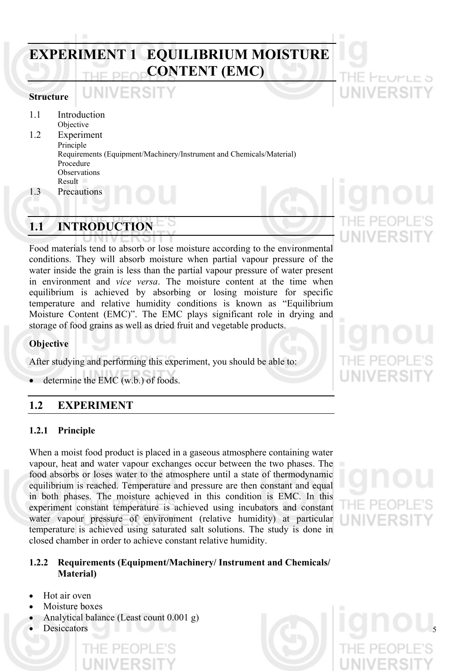# **EXPERIMENT 1 EQUILIBRIUM MOISTURE CONTENT (EMC)**

### **Structure**

1.1 Introduction

Objective 1.2 Experiment Principle Requirements (Equipment/Machinery/Instrument and Chemicals/Material) Procedure **Observations** Result

1.3 Precautions

## **1.1 INTRODUCTION**

Food materials tend to absorb or lose moisture according to the environmental conditions. They will absorb moisture when partial vapour pressure of the water inside the grain is less than the partial vapour pressure of water present in environment and *vice versa*. The moisture content at the time when equilibrium is achieved by absorbing or losing moisture for specific temperature and relative humidity conditions is known as "Equilibrium Moisture Content (EMC)". The EMC plays significant role in drying and storage of food grains as well as dried fruit and vegetable products.

### **Objective**

After studying and performing this experiment, you should be able to:

determine the EMC (w.b.) of foods.

### **1.2 EXPERIMENT**

### **1.2.1 Principle**

When a moist food product is placed in a gaseous atmosphere containing water vapour, heat and water vapour exchanges occur between the two phases. The food absorbs or loses water to the atmosphere until a state of thermodynamic equilibrium is reached. Temperature and pressure are then constant and equal in both phases. The moisture achieved in this condition is EMC. In this experiment constant temperature is achieved using incubators and constant water vapour pressure of environment (relative humidity) at particular temperature is achieved using saturated salt solutions. The study is done in closed chamber in order to achieve constant relative humidity.

### **1.2.2 Requirements (Equipment/Machinery/ Instrument and Chemicals/ Material)**

- Hot air oven
- Moisture boxes
- Analytical balance (Least count 0.001 g)
-